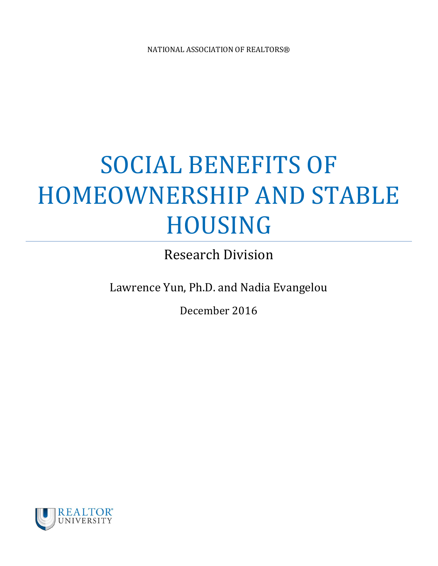# SOCIAL BENEFITS OF HOMEOWNERSHIP AND STABLE HOUSING

Research Division

Lawrence Yun, Ph.D. and Nadia Evangelou

December 2016

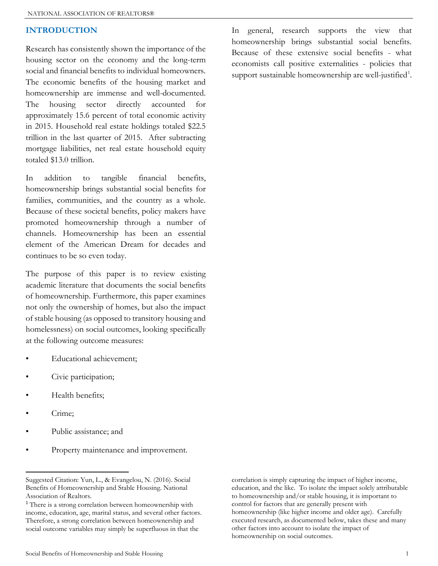#### INTRODUCTION

Research has consistently shown the importance of the housing sector on the economy and the long-term social and financial benefits to individual homeowners. The economic benefits of the housing market and homeownership are immense and well-documented. The housing sector directly accounted for approximately 15.6 percent of total economic activity in 2015. Household real estate holdings totaled \$22.5 trillion in the last quarter of 2015. After subtracting mortgage liabilities, net real estate household equity totaled \$13.0 trillion.

In addition to tangible financial benefits, homeownership brings substantial social benefits for families, communities, and the country as a whole. Because of these societal benefits, policy makers have promoted homeownership through a number of channels. Homeownership has been an essential element of the American Dream for decades and continues to be so even today.

The purpose of this paper is to review existing academic literature that documents the social benefits of homeownership. Furthermore, this paper examines not only the ownership of homes, but also the impact of stable housing (as opposed to transitory housing and homelessness) on social outcomes, looking specifically at the following outcome measures:

- Educational achievement;
- Civic participation;
- Health benefits;
- Crime;

 $\overline{a}$ 

- Public assistance; and
- Property maintenance and improvement.

In general, research supports the view that homeownership brings substantial social benefits. Because of these extensive social benefits - what economists call positive externalities - policies that support sustainable homeownership are well-justified<sup>1</sup>.

correlation is simply capturing the impact of higher income, education, and the like. To isolate the impact solely attributable to homeownership and/or stable housing, it is important to control for factors that are generally present with homeownership (like higher income and older age). Carefully executed research, as documented below, takes these and many other factors into account to isolate the impact of homeownership on social outcomes.

Suggested Citation: Yun, L., & Evangelou, N. (2016). Social Benefits of Homeownership and Stable Housing. National Association of Realtors.

<sup>1</sup> There is a strong correlation between homeownership with income, education, age, marital status, and several other factors. Therefore, a strong correlation between homeownership and social outcome variables may simply be superfluous in that the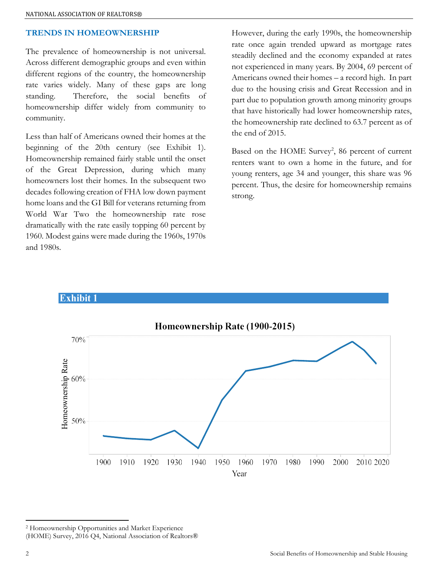### TRENDS IN HOMEOWNERSHIP

The prevalence of homeownership is not universal. Across different demographic groups and even within different regions of the country, the homeownership rate varies widely. Many of these gaps are long standing. Therefore, the social benefits of homeownership differ widely from community to community.

Less than half of Americans owned their homes at the beginning of the 20th century (see Exhibit 1). Homeownership remained fairly stable until the onset of the Great Depression, during which many homeowners lost their homes. In the subsequent two decades following creation of FHA low down payment home loans and the GI Bill for veterans returning from World War Two the homeownership rate rose dramatically with the rate easily topping 60 percent by 1960. Modest gains were made during the 1960s, 1970s and 1980s.

However, during the early 1990s, the homeownership rate once again trended upward as mortgage rates steadily declined and the economy expanded at rates not experienced in many years. By 2004, 69 percent of Americans owned their homes – a record high. In part due to the housing crisis and Great Recession and in part due to population growth among minority groups that have historically had lower homeownership rates, the homeownership rate declined to 63.7 percent as of the end of 2015.

Based on the HOME Survey<sup>2</sup>, 86 percent of current renters want to own a home in the future, and for young renters, age 34 and younger, this share was 96 percent. Thus, the desire for homeownership remains strong.



**Exhibit** 1

2 Homeownership Opportunities and Market Experience

 $\overline{a}$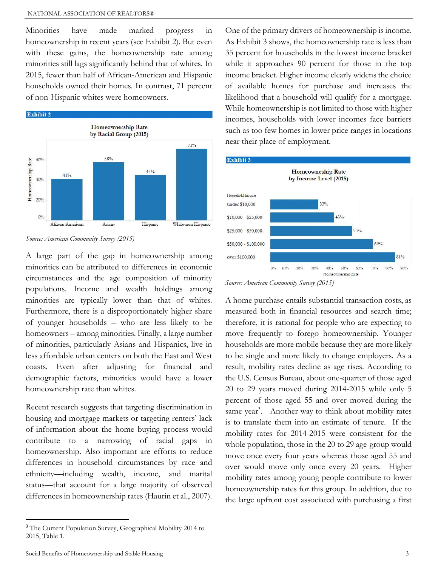Minorities have made marked progress in homeownership in recent years (see Exhibit 2). But even with these gains, the homeownership rate among minorities still lags significantly behind that of whites. In 2015, fewer than half of African-American and Hispanic households owned their homes. In contrast, 71 percent of non-Hispanic whites were homeowners.



Source: American Community Survey (2015)

A large part of the gap in homeownership among minorities can be attributed to differences in economic circumstances and the age composition of minority populations. Income and wealth holdings among minorities are typically lower than that of whites. Furthermore, there is a disproportionately higher share of younger households – who are less likely to be homeowners – among minorities. Finally, a large number of minorities, particularly Asians and Hispanics, live in less affordable urban centers on both the East and West coasts. Even after adjusting for financial and demographic factors, minorities would have a lower homeownership rate than whites.

Recent research suggests that targeting discrimination in housing and mortgage markets or targeting renters' lack of information about the home buying process would contribute to a narrowing of racial gaps in homeownership. Also important are efforts to reduce differences in household circumstances by race and ethnicity—including wealth, income, and marital status—that account for a large majority of observed differences in homeownership rates (Haurin et al., 2007).

One of the primary drivers of homeownership is income. As Exhibit 3 shows, the homeownership rate is less than 35 percent for households in the lowest income bracket while it approaches 90 percent for those in the top income bracket. Higher income clearly widens the choice of available homes for purchase and increases the likelihood that a household will qualify for a mortgage. While homeownership is not limited to those with higher incomes, households with lower incomes face barriers such as too few homes in lower price ranges in locations near their place of employment.



Source: American Community Survey (2015)

A home purchase entails substantial transaction costs, as measured both in financial resources and search time; therefore, it is rational for people who are expecting to move frequently to forego homeownership. Younger households are more mobile because they are more likely to be single and more likely to change employers. As a result, mobility rates decline as age rises. According to the U.S. Census Bureau, about one-quarter of those aged 20 to 29 years moved during 2014-2015 while only 5 percent of those aged 55 and over moved during the same year<sup>3</sup>. Another way to think about mobility rates is to translate them into an estimate of tenure. If the mobility rates for 2014-2015 were consistent for the whole population, those in the 20 to 29 age-group would move once every four years whereas those aged 55 and over would move only once every 20 years. Higher mobility rates among young people contribute to lower homeownership rates for this group. In addition, due to the large upfront cost associated with purchasing a first

<sup>&</sup>lt;sup>3</sup> The Current Population Survey, Geographical Mobility 2014 to 2015, Table 1.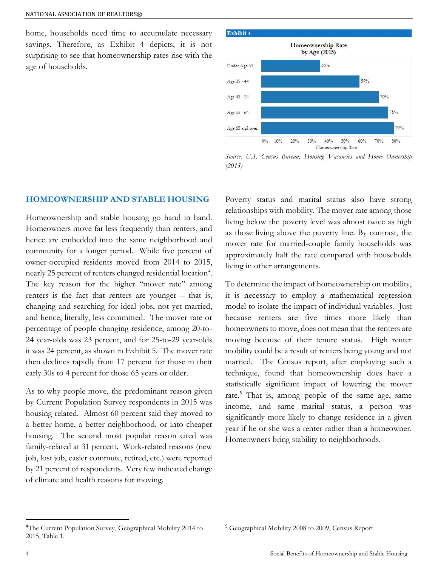home, households need time to accumulate necessary savings. Therefore, as Exhibit 4 depicts, it is not surprising to see that homeownership rates rise with the age of households.



Source: U.S. Census Bureau, Housing Vacancies and Home Ownership (2015)

#### HOMEOWNERSHIP AND STABLE HOUSING

Homeownership and stable housing go hand in hand. Homeowners move far less frequently than renters, and hence are embedded into the same neighborhood and community for a longer period. While five percent of owner-occupied residents moved from 2014 to 2015, nearly 25 percent of renters changed residential location<sup>4</sup>. The key reason for the higher "mover rate" among renters is the fact that renters are younger – that is, changing and searching for ideal jobs, not yet married, and hence, literally, less committed. The mover rate or percentage of people changing residence, among 20-to-24 year-olds was 23 percent, and for 25-to-29 year-olds it was 24 percent, as shown in Exhibit 5. The mover rate then declines rapidly from 17 percent for those in their early 30s to 4 percent for those 65 years or older.

As to why people move, the predominant reason given by Current Population Survey respondents in 2015 was housing-related. Almost 60 percent said they moved to a better home, a better neighborhood, or into cheaper housing. The second most popular reason cited was family-related at 31 percent. Work-related reasons (new job, lost job, easier commute, retired, etc.) were reported by 21 percent of respondents. Very few indicated change of climate and health reasons for moving.

Poverty status and marital status also have strong relationships with mobility. The mover rate among those living below the poverty level was almost twice as high as those living above the poverty line. By contrast, the mover rate for married-couple family households was approximately half the rate compared with households living in other arrangements.

To determine the impact of homeownership on mobility, it is necessary to employ a mathematical regression model to isolate the impact of individual variables. Just because renters are five times more likely than homeowners to move, does not mean that the renters are moving because of their tenure status. High renter mobility could be a result of renters being young and not married. The Census report, after employing such a technique, found that homeownership does have a statistically significant impact of lowering the mover rate.<sup>5</sup> That is, among people of the same age, same income, and same marital status, a person was significantly more likely to change residence in a given year if he or she was a renter rather than a homeowner. Homeowners bring stability to neighborhoods.

<sup>4</sup>The Current Population Survey, Geographical Mobility 2014 to 2015, Table 1.

<sup>5</sup> Geographical Mobility 2008 to 2009, Census Report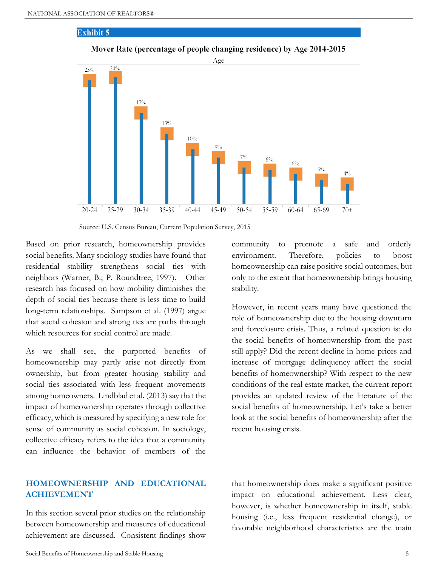#### **Exhibit 5**



Mover Rate (percentage of people changing residence) by Age 2014-2015

Source: U.S. Census Bureau, Current Population Survey, 2015

Based on prior research, homeownership provides social benefits. Many sociology studies have found that residential stability strengthens social ties with neighbors (Warner, B.; P. Roundtree, 1997). Other research has focused on how mobility diminishes the depth of social ties because there is less time to build long-term relationships. Sampson et al. (1997) argue that social cohesion and strong ties are paths through which resources for social control are made.

As we shall see, the purported benefits of homeownership may partly arise not directly from ownership, but from greater housing stability and social ties associated with less frequent movements among homeowners. Lindblad et al. (2013) say that the impact of homeownership operates through collective efficacy, which is measured by specifying a new role for sense of community as social cohesion. In sociology, collective efficacy refers to the idea that a community can influence the behavior of members of the

community to promote a safe and orderly environment. Therefore, policies to boost homeownership can raise positive social outcomes, but only to the extent that homeownership brings housing stability.

However, in recent years many have questioned the role of homeownership due to the housing downturn and foreclosure crisis. Thus, a related question is: do the social benefits of homeownership from the past still apply? Did the recent decline in home prices and increase of mortgage delinquency affect the social benefits of homeownership? With respect to the new conditions of the real estate market, the current report provides an updated review of the literature of the social benefits of homeownership. Let's take a better look at the social benefits of homeownership after the recent housing crisis.

# HOMEOWNERSHIP AND EDUCATIONAL ACHIEVEMENT

In this section several prior studies on the relationship between homeownership and measures of educational achievement are discussed. Consistent findings show

that homeownership does make a significant positive impact on educational achievement. Less clear, however, is whether homeownership in itself, stable housing (i.e., less frequent residential change), or favorable neighborhood characteristics are the main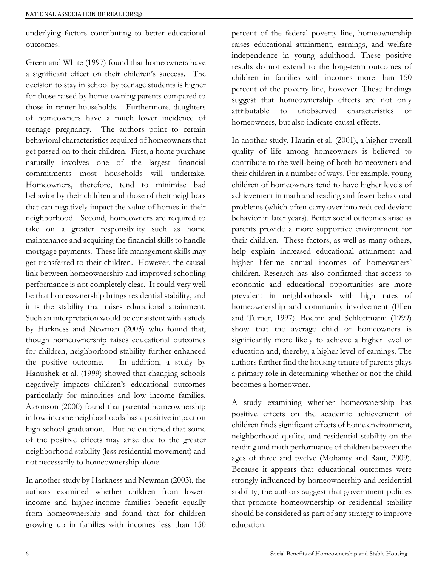underlying factors contributing to better educational outcomes.

Green and White (1997) found that homeowners have a significant effect on their children's success. The decision to stay in school by teenage students is higher for those raised by home-owning parents compared to those in renter households. Furthermore, daughters of homeowners have a much lower incidence of teenage pregnancy. The authors point to certain behavioral characteristics required of homeowners that get passed on to their children. First, a home purchase naturally involves one of the largest financial commitments most households will undertake. Homeowners, therefore, tend to minimize bad behavior by their children and those of their neighbors that can negatively impact the value of homes in their neighborhood. Second, homeowners are required to take on a greater responsibility such as home maintenance and acquiring the financial skills to handle mortgage payments. These life management skills may get transferred to their children. However, the causal link between homeownership and improved schooling performance is not completely clear. It could very well be that homeownership brings residential stability, and it is the stability that raises educational attainment. Such an interpretation would be consistent with a study by Harkness and Newman (2003) who found that, though homeownership raises educational outcomes for children, neighborhood stability further enhanced the positive outcome. In addition, a study by Hanushek et al. (1999) showed that changing schools negatively impacts children's educational outcomes particularly for minorities and low income families. Aaronson (2000) found that parental homeownership in low-income neighborhoods has a positive impact on high school graduation. But he cautioned that some of the positive effects may arise due to the greater neighborhood stability (less residential movement) and not necessarily to homeownership alone.

In another study by Harkness and Newman (2003), the authors examined whether children from lowerincome and higher-income families benefit equally from homeownership and found that for children growing up in families with incomes less than 150 percent of the federal poverty line, homeownership raises educational attainment, earnings, and welfare independence in young adulthood. These positive results do not extend to the long-term outcomes of children in families with incomes more than 150 percent of the poverty line, however. These findings suggest that homeownership effects are not only attributable to unobserved characteristics of homeowners, but also indicate causal effects.

In another study, Haurin et al. (2001), a higher overall quality of life among homeowners is believed to contribute to the well-being of both homeowners and their children in a number of ways. For example, young children of homeowners tend to have higher levels of achievement in math and reading and fewer behavioral problems (which often carry over into reduced deviant behavior in later years). Better social outcomes arise as parents provide a more supportive environment for their children. These factors, as well as many others, help explain increased educational attainment and higher lifetime annual incomes of homeowners' children. Research has also confirmed that access to economic and educational opportunities are more prevalent in neighborhoods with high rates of homeownership and community involvement (Ellen and Turner, 1997). Boehm and Schlottmann (1999) show that the average child of homeowners is significantly more likely to achieve a higher level of education and, thereby, a higher level of earnings. The authors further find the housing tenure of parents plays a primary role in determining whether or not the child becomes a homeowner.

A study examining whether homeownership has positive effects on the academic achievement of children finds significant effects of home environment, neighborhood quality, and residential stability on the reading and math performance of children between the ages of three and twelve (Mohanty and Raut, 2009). Because it appears that educational outcomes were strongly influenced by homeownership and residential stability, the authors suggest that government policies that promote homeownership or residential stability should be considered as part of any strategy to improve education.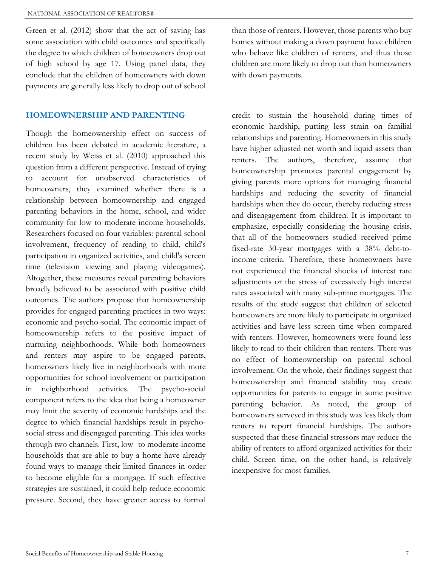Green et al. (2012) show that the act of saving has some association with child outcomes and specifically the degree to which children of homeowners drop out of high school by age 17. Using panel data, they conclude that the children of homeowners with down payments are generally less likely to drop out of school

#### HOMEOWNERSHIP AND PARENTING

Though the homeownership effect on success of children has been debated in academic literature, a recent study by Weiss et al. (2010) approached this question from a different perspective. Instead of trying to account for unobserved characteristics of homeowners, they examined whether there is a relationship between homeownership and engaged parenting behaviors in the home, school, and wider community for low to moderate income households. Researchers focused on four variables: parental school involvement, frequency of reading to child, child's participation in organized activities, and child's screen time (television viewing and playing videogames). Altogether, these measures reveal parenting behaviors broadly believed to be associated with positive child outcomes. The authors propose that homeownership provides for engaged parenting practices in two ways: economic and psycho-social. The economic impact of homeownership refers to the positive impact of nurturing neighborhoods. While both homeowners and renters may aspire to be engaged parents, homeowners likely live in neighborhoods with more opportunities for school involvement or participation in neighborhood activities. The psycho-social component refers to the idea that being a homeowner may limit the severity of economic hardships and the degree to which financial hardships result in psychosocial stress and disengaged parenting. This idea works through two channels. First, low- to moderate-income households that are able to buy a home have already found ways to manage their limited finances in order to become eligible for a mortgage. If such effective strategies are sustained, it could help reduce economic pressure. Second, they have greater access to formal

than those of renters. However, those parents who buy homes without making a down payment have children who behave like children of renters, and thus those children are more likely to drop out than homeowners with down payments.

credit to sustain the household during times of economic hardship, putting less strain on familial relationships and parenting. Homeowners in this study have higher adjusted net worth and liquid assets than renters. The authors, therefore, assume that homeownership promotes parental engagement by giving parents more options for managing financial hardships and reducing the severity of financial hardships when they do occur, thereby reducing stress and disengagement from children. It is important to emphasize, especially considering the housing crisis, that all of the homeowners studied received prime fixed-rate 30-year mortgages with a 38% debt-toincome criteria. Therefore, these homeowners have not experienced the financial shocks of interest rate adjustments or the stress of excessively high interest rates associated with many sub-prime mortgages. The results of the study suggest that children of selected homeowners are more likely to participate in organized activities and have less screen time when compared with renters. However, homeowners were found less likely to read to their children than renters. There was no effect of homeownership on parental school involvement. On the whole, their findings suggest that homeownership and financial stability may create opportunities for parents to engage in some positive parenting behavior. As noted, the group of homeowners surveyed in this study was less likely than renters to report financial hardships. The authors suspected that these financial stressors may reduce the ability of renters to afford organized activities for their child. Screen time, on the other hand, is relatively inexpensive for most families.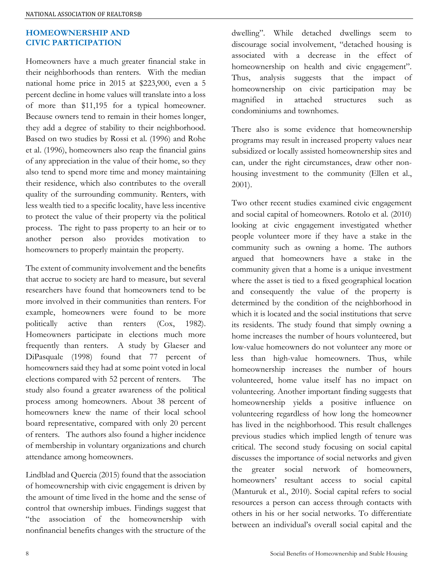# HOMEOWNERSHIP AND CIVIC PARTICIPATION

Homeowners have a much greater financial stake in their neighborhoods than renters. With the median national home price in 2015 at \$223,900, even a 5 percent decline in home values will translate into a loss of more than \$11,195 for a typical homeowner. Because owners tend to remain in their homes longer, they add a degree of stability to their neighborhood. Based on two studies by Rossi et al. (1996) and Rohe et al. (1996), homeowners also reap the financial gains of any appreciation in the value of their home, so they also tend to spend more time and money maintaining their residence, which also contributes to the overall quality of the surrounding community. Renters, with less wealth tied to a specific locality, have less incentive to protect the value of their property via the political process. The right to pass property to an heir or to another person also provides motivation to homeowners to properly maintain the property.

The extent of community involvement and the benefits that accrue to society are hard to measure, but several researchers have found that homeowners tend to be more involved in their communities than renters. For example, homeowners were found to be more politically active than renters (Cox, 1982). Homeowners participate in elections much more frequently than renters. A study by Glaeser and DiPasquale (1998) found that 77 percent of homeowners said they had at some point voted in local elections compared with 52 percent of renters. The study also found a greater awareness of the political process among homeowners. About 38 percent of homeowners knew the name of their local school board representative, compared with only 20 percent of renters. The authors also found a higher incidence of membership in voluntary organizations and church attendance among homeowners.

Lindblad and Quercia (2015) found that the association of homeownership with civic engagement is driven by the amount of time lived in the home and the sense of control that ownership imbues. Findings suggest that "the association of the homeownership with nonfinancial benefits changes with the structure of the dwelling". While detached dwellings seem to discourage social involvement, "detached housing is associated with a decrease in the effect of homeownership on health and civic engagement". Thus, analysis suggests that the impact of homeownership on civic participation may be magnified in attached structures such as condominiums and townhomes.

There also is some evidence that homeownership programs may result in increased property values near subsidized or locally assisted homeownership sites and can, under the right circumstances, draw other nonhousing investment to the community (Ellen et al., 2001).

Two other recent studies examined civic engagement and social capital of homeowners. Rotolo et al. (2010) looking at civic engagement investigated whether people volunteer more if they have a stake in the community such as owning a home. The authors argued that homeowners have a stake in the community given that a home is a unique investment where the asset is tied to a fixed geographical location and consequently the value of the property is determined by the condition of the neighborhood in which it is located and the social institutions that serve its residents. The study found that simply owning a home increases the number of hours volunteered, but low-value homeowners do not volunteer any more or less than high-value homeowners. Thus, while homeownership increases the number of hours volunteered, home value itself has no impact on volunteering. Another important finding suggests that homeownership yields a positive influence on volunteering regardless of how long the homeowner has lived in the neighborhood. This result challenges previous studies which implied length of tenure was critical. The second study focusing on social capital discusses the importance of social networks and given the greater social network of homeowners, homeowners' resultant access to social capital (Manturuk et al., 2010). Social capital refers to social resources a person can access through contacts with others in his or her social networks. To differentiate between an individual's overall social capital and the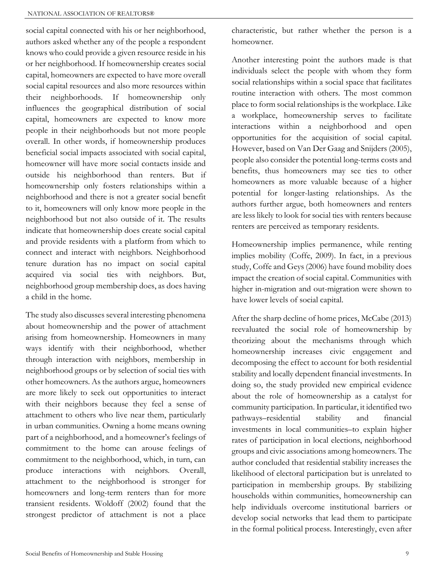social capital connected with his or her neighborhood, authors asked whether any of the people a respondent knows who could provide a given resource reside in his or her neighborhood. If homeownership creates social capital, homeowners are expected to have more overall social capital resources and also more resources within their neighborhoods. If homeownership only influences the geographical distribution of social capital, homeowners are expected to know more people in their neighborhoods but not more people overall. In other words, if homeownership produces beneficial social impacts associated with social capital, homeowner will have more social contacts inside and outside his neighborhood than renters. But if homeownership only fosters relationships within a neighborhood and there is not a greater social benefit to it, homeowners will only know more people in the neighborhood but not also outside of it. The results indicate that homeownership does create social capital and provide residents with a platform from which to connect and interact with neighbors. Neighborhood tenure duration has no impact on social capital acquired via social ties with neighbors. But, neighborhood group membership does, as does having a child in the home.

The study also discusses several interesting phenomena about homeownership and the power of attachment arising from homeownership. Homeowners in many ways identify with their neighborhood, whether through interaction with neighbors, membership in neighborhood groups or by selection of social ties with other homeowners. As the authors argue, homeowners are more likely to seek out opportunities to interact with their neighbors because they feel a sense of attachment to others who live near them, particularly in urban communities. Owning a home means owning part of a neighborhood, and a homeowner's feelings of commitment to the home can arouse feelings of commitment to the neighborhood, which, in turn, can produce interactions with neighbors. Overall, attachment to the neighborhood is stronger for homeowners and long-term renters than for more transient residents. Woldoff (2002) found that the strongest predictor of attachment is not a place

characteristic, but rather whether the person is a homeowner.

Another interesting point the authors made is that individuals select the people with whom they form social relationships within a social space that facilitates routine interaction with others. The most common place to form social relationships is the workplace. Like a workplace, homeownership serves to facilitate interactions within a neighborhood and open opportunities for the acquisition of social capital. However, based on Van Der Gaag and Snijders (2005), people also consider the potential long-terms costs and benefits, thus homeowners may see ties to other homeowners as more valuable because of a higher potential for longer-lasting relationships. As the authors further argue, both homeowners and renters are less likely to look for social ties with renters because renters are perceived as temporary residents.

Homeownership implies permanence, while renting implies mobility (Coffe, 2009). In fact, in a previous study, Coffe and Geys (2006) have found mobility does impact the creation of social capital. Communities with higher in-migration and out-migration were shown to have lower levels of social capital.

After the sharp decline of home prices, McCabe (2013) reevaluated the social role of homeownership by theorizing about the mechanisms through which homeownership increases civic engagement and decomposing the effect to account for both residential stability and locally dependent financial investments. In doing so, the study provided new empirical evidence about the role of homeownership as a catalyst for community participation. In particular, it identified two pathways–residential stability and financial investments in local communities–to explain higher rates of participation in local elections, neighborhood groups and civic associations among homeowners. The author concluded that residential stability increases the likelihood of electoral participation but is unrelated to participation in membership groups. By stabilizing households within communities, homeownership can help individuals overcome institutional barriers or develop social networks that lead them to participate in the formal political process. Interestingly, even after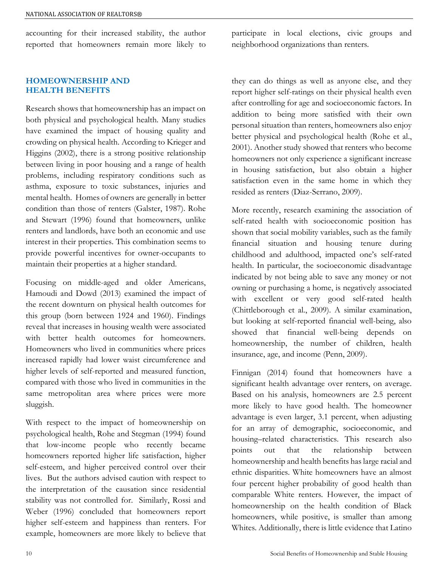accounting for their increased stability, the author reported that homeowners remain more likely to

## HOMEOWNERSHIP AND HEALTH BENEFITS

Research shows that homeownership has an impact on both physical and psychological health. Many studies have examined the impact of housing quality and crowding on physical health. According to Krieger and Higgins (2002), there is a strong positive relationship between living in poor housing and a range of health problems, including respiratory conditions such as asthma, exposure to toxic substances, injuries and mental health. Homes of owners are generally in better condition than those of renters (Galster, 1987). Rohe and Stewart (1996) found that homeowners, unlike renters and landlords, have both an economic and use interest in their properties. This combination seems to provide powerful incentives for owner-occupants to maintain their properties at a higher standard.

Focusing on middle-aged and older Americans, Hamoudi and Dowd (2013) examined the impact of the recent downturn on physical health outcomes for this group (born between 1924 and 1960). Findings reveal that increases in housing wealth were associated with better health outcomes for homeowners. Homeowners who lived in communities where prices increased rapidly had lower waist circumference and higher levels of self-reported and measured function, compared with those who lived in communities in the same metropolitan area where prices were more sluggish.

With respect to the impact of homeownership on psychological health, Rohe and Stegman (1994) found that low-income people who recently became homeowners reported higher life satisfaction, higher self-esteem, and higher perceived control over their lives. But the authors advised caution with respect to the interpretation of the causation since residential stability was not controlled for. Similarly, Rossi and Weber (1996) concluded that homeowners report higher self-esteem and happiness than renters. For example, homeowners are more likely to believe that participate in local elections, civic groups and neighborhood organizations than renters.

they can do things as well as anyone else, and they report higher self-ratings on their physical health even after controlling for age and socioeconomic factors. In addition to being more satisfied with their own personal situation than renters, homeowners also enjoy better physical and psychological health (Rohe et al., 2001). Another study showed that renters who become homeowners not only experience a significant increase in housing satisfaction, but also obtain a higher satisfaction even in the same home in which they resided as renters (Diaz-Serrano, 2009).

More recently, research examining the association of self-rated health with socioeconomic position has shown that social mobility variables, such as the family financial situation and housing tenure during childhood and adulthood, impacted one's self-rated health. In particular, the socioeconomic disadvantage indicated by not being able to save any money or not owning or purchasing a home, is negatively associated with excellent or very good self-rated health (Chittleborough et al., 2009). A similar examination, but looking at self-reported financial well-being, also showed that financial well-being depends on homeownership, the number of children, health insurance, age, and income (Penn, 2009).

Finnigan (2014) found that homeowners have a significant health advantage over renters, on average. Based on his analysis, homeowners are 2.5 percent more likely to have good health. The homeowner advantage is even larger, 3.1 percent, when adjusting for an array of demographic, socioeconomic, and housing–related characteristics. This research also points out that the relationship between homeownership and health benefits has large racial and ethnic disparities. White homeowners have an almost four percent higher probability of good health than comparable White renters. However, the impact of homeownership on the health condition of Black homeowners, while positive, is smaller than among Whites. Additionally, there is little evidence that Latino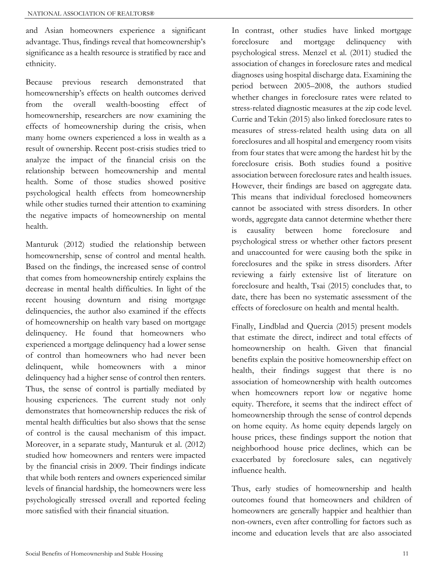and Asian homeowners experience a significant advantage. Thus, findings reveal that homeownership's significance as a health resource is stratified by race and ethnicity.

Because previous research demonstrated that homeownership's effects on health outcomes derived from the overall wealth-boosting effect of homeownership, researchers are now examining the effects of homeownership during the crisis, when many home owners experienced a loss in wealth as a result of ownership. Recent post-crisis studies tried to analyze the impact of the financial crisis on the relationship between homeownership and mental health. Some of those studies showed positive psychological health effects from homeownership while other studies turned their attention to examining the negative impacts of homeownership on mental health.

Manturuk (2012) studied the relationship between homeownership, sense of control and mental health. Based on the findings, the increased sense of control that comes from homeownership entirely explains the decrease in mental health difficulties. In light of the recent housing downturn and rising mortgage delinquencies, the author also examined if the effects of homeownership on health vary based on mortgage delinquency. He found that homeowners who experienced a mortgage delinquency had a lower sense of control than homeowners who had never been delinquent, while homeowners with a minor delinquency had a higher sense of control then renters. Thus, the sense of control is partially mediated by housing experiences. The current study not only demonstrates that homeownership reduces the risk of mental health difficulties but also shows that the sense of control is the causal mechanism of this impact. Moreover, in a separate study, Manturuk et al. (2012) studied how homeowners and renters were impacted by the financial crisis in 2009. Their findings indicate that while both renters and owners experienced similar levels of financial hardship, the homeowners were less psychologically stressed overall and reported feeling more satisfied with their financial situation.

In contrast, other studies have linked mortgage foreclosure and mortgage delinquency with psychological stress. Menzel et al. (2011) studied the association of changes in foreclosure rates and medical diagnoses using hospital discharge data. Examining the period between 2005–2008, the authors studied whether changes in foreclosure rates were related to stress-related diagnostic measures at the zip code level. Currie and Tekin (2015) also linked foreclosure rates to measures of stress-related health using data on all foreclosures and all hospital and emergency room visits from four states that were among the hardest hit by the foreclosure crisis. Both studies found a positive association between foreclosure rates and health issues. However, their findings are based on aggregate data. This means that individual foreclosed homeowners cannot be associated with stress disorders. In other words, aggregate data cannot determine whether there is causality between home foreclosure and psychological stress or whether other factors present and unaccounted for were causing both the spike in foreclosures and the spike in stress disorders. After reviewing a fairly extensive list of literature on foreclosure and health, Tsai (2015) concludes that, to date, there has been no systematic assessment of the effects of foreclosure on health and mental health.

Finally, Lindblad and Quercia (2015) present models that estimate the direct, indirect and total effects of homeownership on health. Given that financial benefits explain the positive homeownership effect on health, their findings suggest that there is no association of homeownership with health outcomes when homeowners report low or negative home equity. Therefore, it seems that the indirect effect of homeownership through the sense of control depends on home equity. As home equity depends largely on house prices, these findings support the notion that neighborhood house price declines, which can be exacerbated by foreclosure sales, can negatively influence health.

Thus, early studies of homeownership and health outcomes found that homeowners and children of homeowners are generally happier and healthier than non-owners, even after controlling for factors such as income and education levels that are also associated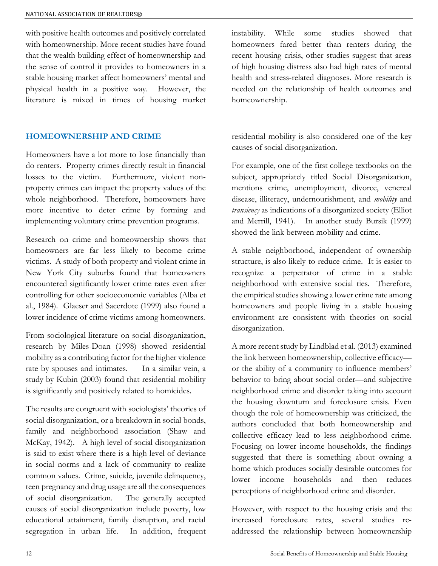with positive health outcomes and positively correlated with homeownership. More recent studies have found that the wealth building effect of homeownership and the sense of control it provides to homeowners in a stable housing market affect homeowners' mental and physical health in a positive way. However, the literature is mixed in times of housing market

# HOMEOWNERSHIP AND CRIME

Homeowners have a lot more to lose financially than do renters. Property crimes directly result in financial losses to the victim. Furthermore, violent nonproperty crimes can impact the property values of the whole neighborhood. Therefore, homeowners have more incentive to deter crime by forming and implementing voluntary crime prevention programs.

Research on crime and homeownership shows that homeowners are far less likely to become crime victims. A study of both property and violent crime in New York City suburbs found that homeowners encountered significantly lower crime rates even after controlling for other socioeconomic variables (Alba et al., 1984). Glaeser and Sacerdote (1999) also found a lower incidence of crime victims among homeowners.

From sociological literature on social disorganization, research by Miles-Doan (1998) showed residential mobility as a contributing factor for the higher violence rate by spouses and intimates. In a similar vein, a study by Kubin (2003) found that residential mobility is significantly and positively related to homicides.

The results are congruent with sociologists' theories of social disorganization, or a breakdown in social bonds, family and neighborhood association (Shaw and McKay, 1942). A high level of social disorganization is said to exist where there is a high level of deviance in social norms and a lack of community to realize common values. Crime, suicide, juvenile delinquency, teen pregnancy and drug usage are all the consequences of social disorganization. The generally accepted causes of social disorganization include poverty, low educational attainment, family disruption, and racial segregation in urban life. In addition, frequent instability. While some studies showed that homeowners fared better than renters during the recent housing crisis, other studies suggest that areas of high housing distress also had high rates of mental health and stress-related diagnoses. More research is needed on the relationship of health outcomes and homeownership.

residential mobility is also considered one of the key causes of social disorganization.

For example, one of the first college textbooks on the subject, appropriately titled Social Disorganization, mentions crime, unemployment, divorce, venereal disease, illiteracy, undernourishment, and *mobility* and transiency as indications of a disorganized society (Elliot and Merrill, 1941). In another study Bursik (1999) showed the link between mobility and crime.

A stable neighborhood, independent of ownership structure, is also likely to reduce crime. It is easier to recognize a perpetrator of crime in a stable neighborhood with extensive social ties. Therefore, the empirical studies showing a lower crime rate among homeowners and people living in a stable housing environment are consistent with theories on social disorganization.

A more recent study by Lindblad et al. (2013) examined the link between homeownership, collective efficacy or the ability of a community to influence members' behavior to bring about social order—and subjective neighborhood crime and disorder taking into account the housing downturn and foreclosure crisis. Even though the role of homeownership was criticized, the authors concluded that both homeownership and collective efficacy lead to less neighborhood crime. Focusing on lower income households, the findings suggested that there is something about owning a home which produces socially desirable outcomes for lower income households and then reduces perceptions of neighborhood crime and disorder.

However, with respect to the housing crisis and the increased foreclosure rates, several studies readdressed the relationship between homeownership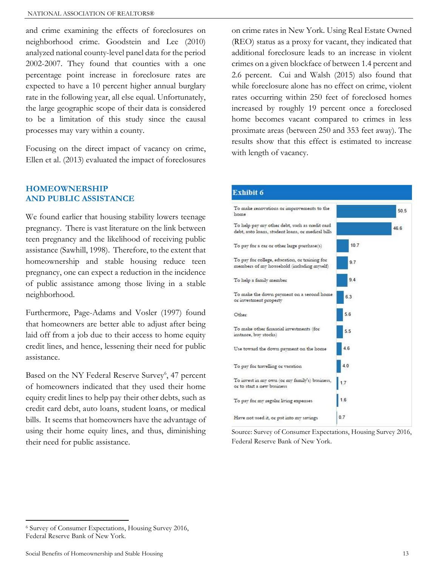and crime examining the effects of foreclosures on neighborhood crime. Goodstein and Lee (2010) analyzed national county-level panel data for the period 2002-2007. They found that counties with a one percentage point increase in foreclosure rates are expected to have a 10 percent higher annual burglary rate in the following year, all else equal. Unfortunately, the large geographic scope of their data is considered to be a limitation of this study since the causal processes may vary within a county.

Focusing on the direct impact of vacancy on crime, Ellen et al. (2013) evaluated the impact of foreclosures

#### HOMEOWNERSHIP AND PUBLIC ASSISTANCE

We found earlier that housing stability lowers teenage pregnancy. There is vast literature on the link between teen pregnancy and the likelihood of receiving public assistance (Sawhill, 1998). Therefore, to the extent that homeownership and stable housing reduce teen pregnancy, one can expect a reduction in the incidence of public assistance among those living in a stable neighborhood.

Furthermore, Page-Adams and Vosler (1997) found that homeowners are better able to adjust after being laid off from a job due to their access to home equity credit lines, and hence, lessening their need for public assistance.

Based on the NY Federal Reserve Survey<sup>6</sup>, 47 percent of homeowners indicated that they used their home equity credit lines to help pay their other debts, such as credit card debt, auto loans, student loans, or medical bills. It seems that homeowners have the advantage of using their home equity lines, and thus, diminishing their need for public assistance.

on crime rates in New York. Using Real Estate Owned (REO) status as a proxy for vacant, they indicated that additional foreclosure leads to an increase in violent crimes on a given blockface of between 1.4 percent and 2.6 percent. Cui and Walsh (2015) also found that while foreclosure alone has no effect on crime, violent rates occurring within 250 feet of foreclosed homes increased by roughly 19 percent once a foreclosed home becomes vacant compared to crimes in less proximate areas (between 250 and 353 feet away). The results show that this effect is estimated to increase with length of vacancy.



Source: Survey of Consumer Expectations, Housing Survey 2016, Federal Reserve Bank of New York.

 $\overline{a}$ 

<sup>6</sup> Survey of Consumer Expectations, Housing Survey 2016, Federal Reserve Bank of New York.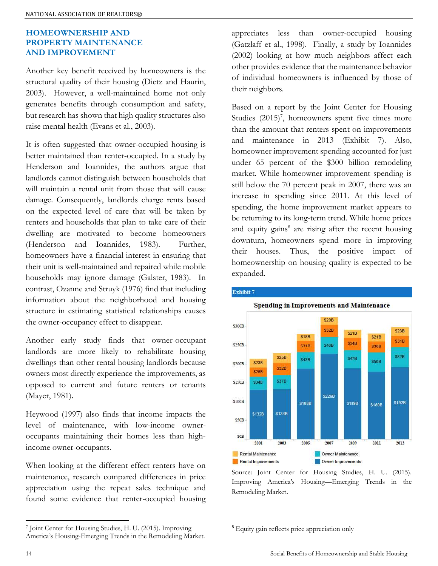## HOMEOWNERSHIP AND PROPERTY MAINTENANCE AND IMPROVEMENT

Another key benefit received by homeowners is the structural quality of their housing (Dietz and Haurin, 2003). However, a well-maintained home not only generates benefits through consumption and safety, but research has shown that high quality structures also raise mental health (Evans et al., 2003).

It is often suggested that owner-occupied housing is better maintained than renter-occupied. In a study by Henderson and Ioannides, the authors argue that landlords cannot distinguish between households that will maintain a rental unit from those that will cause damage. Consequently, landlords charge rents based on the expected level of care that will be taken by renters and households that plan to take care of their dwelling are motivated to become homeowners (Henderson and Ioannides, 1983). Further, homeowners have a financial interest in ensuring that their unit is well-maintained and repaired while mobile households may ignore damage (Galster, 1983). In contrast, Ozanne and Struyk (1976) find that including information about the neighborhood and housing structure in estimating statistical relationships causes the owner-occupancy effect to disappear.

Another early study finds that owner-occupant landlords are more likely to rehabilitate housing dwellings than other rental housing landlords because owners most directly experience the improvements, as opposed to current and future renters or tenants (Mayer, 1981).

Heywood (1997) also finds that income impacts the level of maintenance, with low-income owneroccupants maintaining their homes less than highincome owner-occupants.

When looking at the different effect renters have on maintenance, research compared differences in price appreciation using the repeat sales technique and found some evidence that renter-occupied housing appreciates less than owner-occupied housing (Gatzlaff et al., 1998). Finally, a study by Ioannides (2002) looking at how much neighbors affect each other provides evidence that the maintenance behavior of individual homeowners is influenced by those of their neighbors.

Based on a report by the Joint Center for Housing Studies  $(2015)^7$ , homeowners spent five times more than the amount that renters spent on improvements and maintenance in 2013 (Exhibit 7). Also, homeowner improvement spending accounted for just under 65 percent of the \$300 billion remodeling market. While homeowner improvement spending is still below the 70 percent peak in 2007, there was an increase in spending since 2011. At this level of spending, the home improvement market appears to be returning to its long-term trend. While home prices and equity gains<sup>8</sup> are rising after the recent housing downturn, homeowners spend more in improving their houses. Thus, the positive impact of homeownership on housing quality is expected to be expanded.



Exhibit 7

Source: Joint Center for Housing Studies, H. U. (2015). Improving America's Housing—Emerging Trends in the Remodeling Market.

<sup>8</sup> Equity gain reflects price appreciation only

 $\overline{a}$ 

<sup>7</sup> Joint Center for Housing Studies, H. U. (2015). Improving America's Housing-Emerging Trends in the Remodeling Market.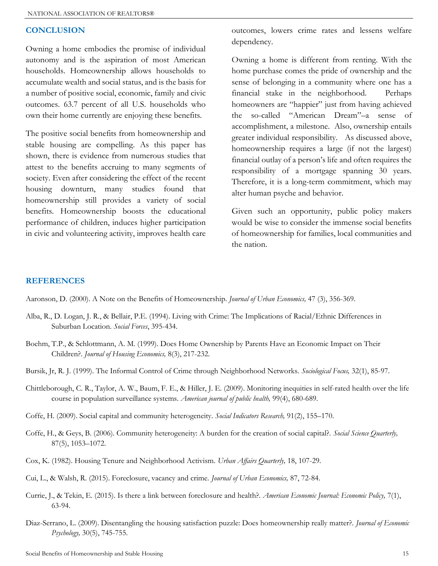#### **CONCLUSION**

Owning a home embodies the promise of individual autonomy and is the aspiration of most American households. Homeownership allows households to accumulate wealth and social status, and is the basis for a number of positive social, economic, family and civic outcomes. 63.7 percent of all U.S. households who own their home currently are enjoying these benefits.

The positive social benefits from homeownership and stable housing are compelling. As this paper has shown, there is evidence from numerous studies that attest to the benefits accruing to many segments of society. Even after considering the effect of the recent housing downturn, many studies found that homeownership still provides a variety of social benefits. Homeownership boosts the educational performance of children, induces higher participation in civic and volunteering activity, improves health care

outcomes, lowers crime rates and lessens welfare dependency.

Owning a home is different from renting. With the home purchase comes the pride of ownership and the sense of belonging in a community where one has a financial stake in the neighborhood. Perhaps homeowners are "happier" just from having achieved the so-called "American Dream"–a sense of accomplishment, a milestone. Also, ownership entails greater individual responsibility. As discussed above, homeownership requires a large (if not the largest) financial outlay of a person's life and often requires the responsibility of a mortgage spanning 30 years. Therefore, it is a long-term commitment, which may alter human psyche and behavior.

Given such an opportunity, public policy makers would be wise to consider the immense social benefits of homeownership for families, local communities and the nation.

#### REFERENCES

Aaronson, D. (2000). A Note on the Benefits of Homeownership. Journal of Urban Economics, 47 (3), 356-369.

- Alba, R., D. Logan, J. R., & Bellair, P.E. (1994). Living with Crime: The Implications of Racial/Ethnic Differences in Suburban Location. Social Forces, 395-434.
- Boehm, T.P., & Schlottmann, A. M. (1999). Does Home Ownership by Parents Have an Economic Impact on Their Children?. Journal of Housing Economics, 8(3), 217-232.
- Bursik, Jr, R. J. (1999). The Informal Control of Crime through Neighborhood Networks. Sociological Focus, 32(1), 85-97.
- Chittleborough, C. R., Taylor, A. W., Baum, F. E., & Hiller, J. E. (2009). Monitoring inequities in self-rated health over the life course in population surveillance systems. American journal of public health, 99(4), 680-689.
- Coffe, H. (2009). Social capital and community heterogeneity. Social Indicators Research, 91(2), 155–170.
- Coffe, H., & Geys, B. (2006). Community heterogeneity: A burden for the creation of social capital?. Social Science Quarterly, 87(5), 1053–1072.
- Cox, K. (1982). Housing Tenure and Neighborhood Activism. Urban Affairs Quarterly, 18, 107-29.
- Cui, L., & Walsh, R. (2015). Foreclosure, vacancy and crime. Journal of Urban Economics, 87, 72-84.
- Currie, J., & Tekin, E. (2015). Is there a link between foreclosure and health?. American Economic Journal: Economic Policy, 7(1), 63-94.
- Diaz-Serrano, L. (2009). Disentangling the housing satisfaction puzzle: Does homeownership really matter?. Journal of Economic Psychology, 30(5), 745-755.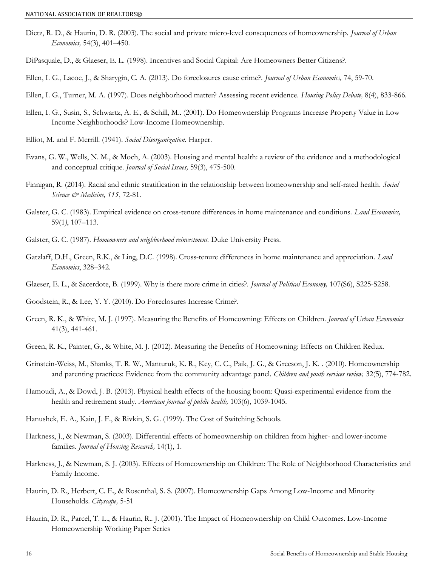- Dietz, R. D., & Haurin, D. R. (2003). The social and private micro-level consequences of homeownership. *Journal of Urban* Economics, 54(3), 401–450.
- DiPasquale, D., & Glaeser, E. L. (1998). Incentives and Social Capital: Are Homeowners Better Citizens?.
- Ellen, I. G., Lacoe, J., & Sharygin, C. A. (2013). Do foreclosures cause crime?. Journal of Urban Economics, 74, 59-70.
- Ellen, I. G., Turner, M. A. (1997). Does neighborhood matter? Assessing recent evidence. Housing Policy Debate, 8(4), 833-866.
- Ellen, I. G., Susin, S., Schwartz, A. E., & Schill, M.. (2001). Do Homeownership Programs Increase Property Value in Low Income Neighborhoods? Low-Income Homeownership.
- Elliot, M. and F. Merrill. (1941). Social Disorganization. Harper.
- Evans, G. W., Wells, N. M., & Moch, A. (2003). Housing and mental health: a review of the evidence and a methodological and conceptual critique. Journal of Social Issues, 59(3), 475-500.
- Finnigan, R. (2014). Racial and ethnic stratification in the relationship between homeownership and self-rated health. Social Science  $\mathcal{O}$  Medicine, 115, 72-81.
- Galster, G. C. (1983). Empirical evidence on cross-tenure differences in home maintenance and conditions. Land Economics, 59(1), 107–113.
- Galster, G. C. (1987). Homeowners and neighborhood reinvestment. Duke University Press.
- Gatzlaff, D.H., Green, R.K., & Ling, D.C. (1998). Cross-tenure differences in home maintenance and appreciation. Land Economics, 328–342.
- Glaeser, E. L., & Sacerdote, B. (1999). Why is there more crime in cities?. Journal of Political Economy, 107(S6), S225-S258.

Goodstein, R., & Lee, Y. Y. (2010). Do Foreclosures Increase Crime?.

- Green, R. K., & White, M. J. (1997). Measuring the Benefits of Homeowning: Effects on Children. Journal of Urban Economics 41(3), 441-461.
- Green, R. K., Painter, G., & White, M. J. (2012). Measuring the Benefits of Homeowning: Effects on Children Redux.
- Grinstein-Weiss, M., Shanks, T. R. W., Manturuk, K. R., Key, C. C., Paik, J. G., & Greeson, J. K. . (2010). Homeownership and parenting practices: Evidence from the community advantage panel. Children and youth services review, 32(5), 774-782.
- Hamoudi, A., & Dowd, J. B. (2013). Physical health effects of the housing boom: Quasi-experimental evidence from the health and retirement study. American journal of public health, 103(6), 1039-1045.
- Hanushek, E. A., Kain, J. F., & Rivkin, S. G. (1999). The Cost of Switching Schools.
- Harkness, J., & Newman, S. (2003). Differential effects of homeownership on children from higher- and lower-income families. Journal of Housing Research, 14(1), 1.
- Harkness, J., & Newman, S. J. (2003). Effects of Homeownership on Children: The Role of Neighborhood Characteristics and Family Income.
- Haurin, D. R., Herbert, C. E., & Rosenthal, S. S. (2007). Homeownership Gaps Among Low-Income and Minority Households. Cityscape, 5-51
- Haurin, D. R., Parcel, T. L., & Haurin, R.. J. (2001). The Impact of Homeownership on Child Outcomes. Low-Income Homeownership Working Paper Series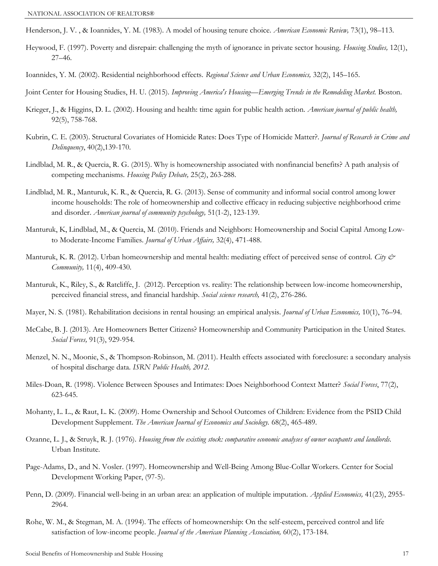Henderson, J. V., & Ioannides, Y. M. (1983). A model of housing tenure choice. American Economic Review, 73(1), 98–113.

- Heywood, F. (1997). Poverty and disrepair: challenging the myth of ignorance in private sector housing. Housing Studies, 12(1), 27–46.
- Ioannides, Y. M. (2002). Residential neighborhood effects. Regional Science and Urban Economics, 32(2), 145-165.

Joint Center for Housing Studies, H. U. (2015). Improving America's Housing—Emerging Trends in the Remodeling Market. Boston.

- Krieger, J., & Higgins, D. L. (2002). Housing and health: time again for public health action. *American journal of public health,* 92(5), 758-768.
- Kubrin, C. E. (2003). Structural Covariates of Homicide Rates: Does Type of Homicide Matter?. Journal of Research in Crime and Delinquency, 40(2),139-170.
- Lindblad, M. R., & Quercia, R. G. (2015). Why is homeownership associated with nonfinancial benefits? A path analysis of competing mechanisms. Housing Policy Debate, 25(2), 263-288.
- Lindblad, M. R., Manturuk, K. R., & Quercia, R. G. (2013). Sense of community and informal social control among lower income households: The role of homeownership and collective efficacy in reducing subjective neighborhood crime and disorder. American journal of community psychology, 51(1-2), 123-139.
- Manturuk, K, Lindblad, M., & Quercia, M. (2010). Friends and Neighbors: Homeownership and Social Capital Among Lowto Moderate-Income Families. Journal of Urban Affairs, 32(4), 471-488.
- Manturuk, K. R. (2012). Urban homeownership and mental health: mediating effect of perceived sense of control. City  $\dot{\mathcal{C}}$ Community, 11(4), 409-430.
- Manturuk, K., Riley, S., & Ratcliffe, J. (2012). Perception vs. reality: The relationship between low-income homeownership, perceived financial stress, and financial hardship. Social science research, 41(2), 276-286.
- Mayer, N. S. (1981). Rehabilitation decisions in rental housing: an empirical analysis. *Journal of Urban Economics*, 10(1), 76–94.
- McCabe, B. J. (2013). Are Homeowners Better Citizens? Homeownership and Community Participation in the United States. Social Forces, 91(3), 929-954.
- Menzel, N. N., Moonie, S., & Thompson-Robinson, M. (2011). Health effects associated with foreclosure: a secondary analysis of hospital discharge data. ISRN Public Health, 2012.
- Miles-Doan, R. (1998). Violence Between Spouses and Intimates: Does Neighborhood Context Matter? Social Forces, 77(2), 623-645.
- Mohanty, L. L., & Raut, L. K. (2009). Home Ownership and School Outcomes of Children: Evidence from the PSID Child Development Supplement. The American Journal of Economics and Sociology. 68(2), 465-489.
- Ozanne, L. J., & Struyk, R. J. (1976). Housing from the existing stock: comparative economic analyses of owner occupants and landlords. Urban Institute.
- Page-Adams, D., and N. Vosler. (1997). Homeownership and Well-Being Among Blue-Collar Workers. Center for Social Development Working Paper, (97-5).
- Penn, D. (2009). Financial well-being in an urban area: an application of multiple imputation. Applied Economics, 41(23), 2955-2964.
- Rohe, W. M., & Stegman, M. A. (1994). The effects of homeownership: On the self-esteem, perceived control and life satisfaction of low-income people. Journal of the American Planning Association, 60(2), 173-184.